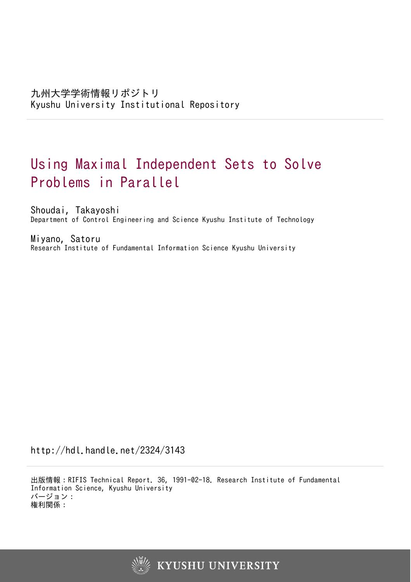# Using Maximal Independent Sets to Solve Problems in Parallel

Shoudai, Takayoshi Department of Control Engineering and Science Kyushu Institute of Technology

Miyano, Satoru Research Institute of Fundamental Information Science Kyushu University

http://hdl.handle.net/2324/3143

出版情報:RIFIS Technical Report. 36, 1991-02-18. Research Institute of Fundamental Information Science, Kyushu University バージョン: 権利関係:

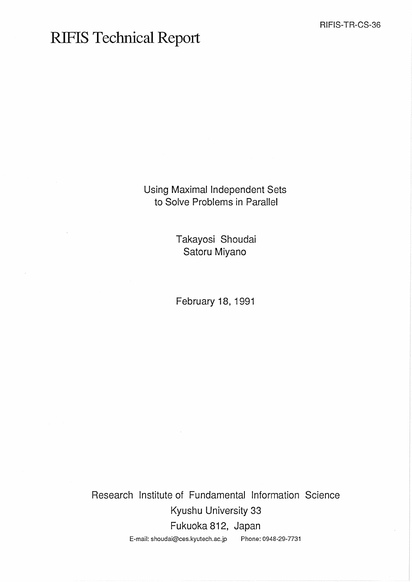## **RIFIS Technical Report**

Using Maximal Independent Sets to Solve Problems in Parallel

> Takayosi Shoudai Satoru Miyano

February 18, 1991

Research Institute of Fundamental Information Science Kyushu University 33 Fukuoka 812, Japan E-mail: shoudai@ces.kyutech.ac.jp Phone: 0948-29-7731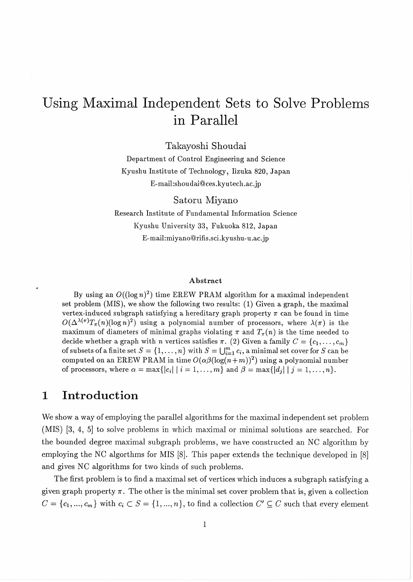## Using Maximal Independent Sets to Solve Problems in Parallel

Takayoshi Shoudai

Department of Control Engineering and Science Kyushu Institute of Technology, Iizuka 820, Japan E-mail:shoudai@ces.kyutech.ac.jp

Satoru Miyano

Research Institute of Fundamental Information Science Kyushu University **33,** Fukuoka 812, Japan E-mail:miyano@rifis.sci .kyushu-u.ac. jp

#### **Abstract**

By using an  $O((\log n)^2)$  time EREW PRAM algorithm for a maximal independent set problem (MIS), we show the following two results: (1) Given a graph, the maximal vertex-induced subgraph satisfying a hereditary graph property  $\pi$  can be found in time  $O(\Delta^{\lambda(\pi)}T_{\pi}(n)(\log n)^2)$  using a polynomial number of processors, where  $\lambda(\pi)$  is the maximum of diameters of minimal graphs violating  $\pi$  and  $T_{\pi}(n)$  is the time needed to decide whether a graph with *n* vertices satisfies  $\pi$ . (2) Given a family  $C = \{c_1, \ldots, c_m\}$ of subsets of a finite set  $S = \{1, ..., n\}$  with  $S = \bigcup_{i=1}^{m} c_i$ , a minimal set cover for S can be computed on an EREW PRAM in time  $O(\alpha\beta(\log(n+m))^2)$  using a polynomial number of processors, where  $\alpha = \max\{|c_i| \mid i = 1,\ldots,m\}$  and  $\beta = \max\{|d_i| \mid j = 1,\ldots,n\}$ .

#### **1 Introduction**

We show a way of employing the parallel algorithms for the maximal independent set problem (MIS) **[3,** 4, 51 to solve problems in which maximal or minimal solutions are searched. For the bounded degree maximal subgraph problems, we have constructed an NC algorithm by employing the NC algorthms for MIS [8]. This paper extends the technique developed in [8] and gives NC algorithms for two kinds of such problems.

The first problem is to find a maximal set of vertices which induces a subgraph satisfying a given graph property  $\pi$ . The other is the minimal set cover problem that is, given a collection  $C = \{c_1, ..., c_m\}$  with  $c_i \subset S = \{1, ..., n\}$ , to find a collection  $C' \subseteq C$  such that every element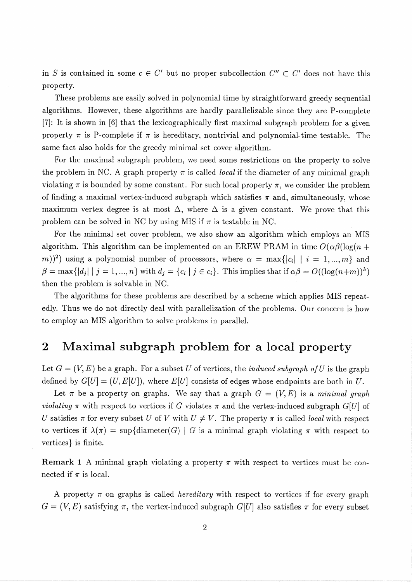in *S* is contained in some  $c \in C'$  but no proper subcollection  $C'' \subset C'$  does not have this property.

These problems are easily solved in polynomial time by straightforward greedy sequential algorithms. However, these algorithms are hardly parallelizable since they are P-complete [7]: It is shown in [6] that the lexicographically first maximal subgraph problem for a given property  $\pi$  is P-complete if  $\pi$  is hereditary, nontrivial and polynomial-time testable. The same fact also holds for the greedy minimal set cover algorithm.

For the maximal subgraph problem, we need some restrictions on the property to solve the problem in NC. A graph property  $\pi$  is called *local* if the diameter of any minimal graph violating  $\pi$  is bounded by some constant. For such local property  $\pi$ , we consider the problem of finding a maximal vertex-induced subgraph which satisfies  $\pi$  and, simultaneously, whose maximum vertex degree is at most  $\Delta$ , where  $\Delta$  is a given constant. We prove that this problem can be solved in NC by using MIS if  $\pi$  is testable in NC.

For the minimal set cover problem, we also show an algorithm which employs an MIS algorithm. This algorithm can be implemented on an EREW PRAM in time  $O(\alpha\beta(\log(n +$  $(m)$ )<sup>2</sup>) using a polynomial number of processors, where  $\alpha = \max\{|c_i| \mid i = 1, ..., m\}$  and  $\beta = \max\{|d_i| \mid j = 1, ..., n\}$  with  $d_i = \{c_i \mid j \in c_i\}$ . This implies that if  $\alpha\beta = O((\log(n+m))^k)$ then the problem is solvable in NC.

The algorithms for these problems are described by a scheme which applies MIS repeatedly. Thus we do not directly deal with parallelization of the problems. Our concern is how to employ an MIS algorithm to solve problems in parallel.

### **2** Maximal subgraph problem for a local property

Let  $G = (V, E)$  be a graph. For a subset U of vertices, the *induced subgraph of U* is the graph defined by  $G[U] = (U, E[U])$ , where  $E[U]$  consists of edges whose endpoints are both in U.

Let  $\pi$  be a property on graphs. We say that a graph  $G = (V, E)$  is a minimal graph violating  $\pi$  with respect to vertices if G violates  $\pi$  and the vertex-induced subgraph G[U] of U satisfies  $\pi$  for every subset U of V with  $U \neq V$ . The property  $\pi$  is called *local* with respect to vertices if  $\lambda(\pi) = \sup{\{\text{diameter}(G) \mid G \text{ is a minimal graph violating } \pi \text{ with respect to }\}$ vertices} is finite.

**Remark 1** A minimal graph violating a property  $\pi$  with respect to vertices must be connected if  $\pi$  is local.

A property  $\pi$  on graphs is called *hereditary* with respect to vertices if for every graph  $G = (V, E)$  satisfying  $\pi$ , the vertex-induced subgraph  $G[U]$  also satisfies  $\pi$  for every subset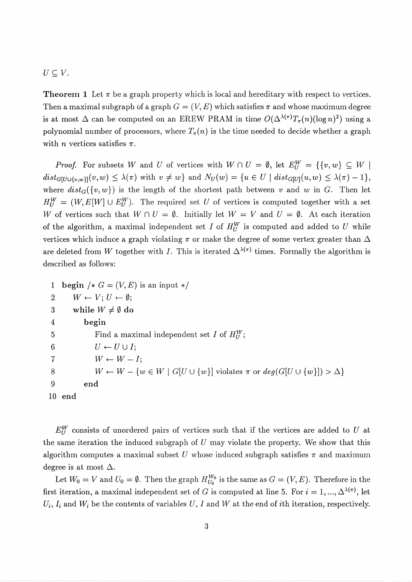#### $U \subseteq V$ .

**Theorem 1** Let  $\pi$  be a graph property which is local and hereditary with respect to vertices. Then a maximal subgraph of a graph  $G = (V, E)$  which satisfies  $\pi$  and whose maximum degree is at most  $\Delta$  can be computed on an EREW PRAM in time  $O(\Delta^{\lambda(\pi)}T_{\pi}(n)(\log n)^2)$  using a polynomial number of processors, where  $T_{\pi}(n)$  is the time needed to decide whether a graph with *n* vertices satisfies  $\pi$ .

*Proof.* For subsets W and U of vertices with  $W \cap U = \emptyset$ , let  $E_U^W = \{ \{v, w\} \subseteq W \mid$  $dist_{G[U\cup\{v,w\}]}(v,w) \leq \lambda(\pi)$  with  $v \neq w$  and  $N_U(w) = \{u \in U \mid dist_{G[U]}(u,w) \leq \lambda(\pi) - 1\},$ where  $dist_G({v, w})$  is the length of the shortest path between v and w in *G*. Then let  $H_U^W = (W, E[W] \cup E_U^W)$ . The required set *U* of vertices is computed together with a set W of vertices such that  $W \cap U = \emptyset$ . Initially let  $W = V$  and  $U = \emptyset$ . At each iteration of the algorithm, a maximal independent set I of  $H_U^W$  is computed and added to U while vertices which induce a graph violating  $\pi$  or make the degree of some vertex greater than  $\Delta$ are deleted from W together with I. This is iterated  $\Delta^{\lambda(\pi)}$  times. Formally the algorithm is described as follows:

1 **begin**  $/* G = (V, E)$  is an input  $*/$ 2  $W \leftarrow V; U \leftarrow \emptyset;$ 3 while  $W \neq \emptyset$  do 4 **begin**  5 **Find a maximal independent set** *I* **of**  $H_U^W$ **;** 6  $U \leftarrow U \cup I;$ 7  $W \leftarrow W - I;$ 8 W  $\leftarrow$   $W - \{w \in W \mid G[U \cup \{w\}] \text{ violates } \pi \text{ or } deg(G[U \cup \{w\}]) > \Delta \}$ 9 **end 10 end** 

 $E_U^W$  consists of unordered pairs of vertices such that if the vertices are added to  $U$  at the same iteration the induced subgraph of *U* may violate the property. We show that this algorithm computes a maximal subset  $U$  whose induced subgraph satisfies  $\pi$  and maximum degree is at most  $\Delta$ .

Let  $W_0 = V$  and  $U_0 = \emptyset$ . Then the graph  $H_{U_0}^{W_0}$  is the same as  $G = (V, E)$ . Therefore in the first iteration, a maximal independent set of *G* is computed at line 5. For  $i = 1, ..., \Delta^{\lambda(\pi)}$ , let  $U_i$ ,  $I_i$  and  $W_i$  be the contents of variables  $U, I$  and  $W$  at the end of ith iteration, respectively.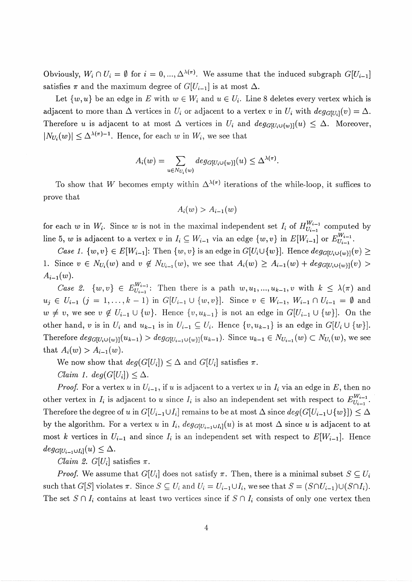Obviously,  $W_i \cap U_i = \emptyset$  for  $i = 0, ..., \Delta^{\lambda(\pi)}$ . We assume that the induced subgraph  $G[U_{i-1}]$ satisfies  $\pi$  and the maximum degree of  $G[U_{i-1}]$  is at most  $\Delta$ .

Let  $\{w, u\}$  be an edge in *E* with  $w \in W_i$  and  $u \in U_i$ . Line 8 deletes every vertex which is adjacent to more than  $\Delta$  vertices in  $U_i$  or adjacent to a vertex *v* in  $U_i$  with  $deg_{G[U_i]}(v) = \Delta$ . Therefore *u* is adjacent to at most  $\Delta$  vertices in  $U_i$  and  $deg_{G[U_i\cup\{w\}}(u) \leq \Delta$ . Moreover,  $|N_{U_i}(w)| \leq \Delta^{\lambda(\pi)-1}$ . Hence, for each *w* in *W<sub>i</sub>*, we see that

$$
A_i(w) = \sum_{u \in N_{U_i}(w)} deg_{G[U_i \cup \{w\}]}(u) \leq \Delta^{\lambda(\pi)}.
$$

To show that *W* becomes empty within  $\Delta^{\lambda(\pi)}$  iterations of the while-loop, it suffices to prove that

$$
A_i(w) > A_{i-1}(w)
$$

for each *w* in *W<sub>i</sub>*. Since *w* is not in the maximal independent set  $I_i$  of  $H_{U_{i-1}}^{W_{i-1}}$  computed by line 5, *w* is adjacent to a vertex *v* in  $I_i \subseteq W_{i-1}$  via an edge  $\{w, v\}$  in  $E[W_{i-1}]$  or  $E_{U_{i-1}}^{W_{i-1}}$ 

*Case 1.*  $\{w, v\} \in E[W_{i-1}]$ : Then  $\{w, v\}$  is an edge in  $G[U_i \cup \{w\}]$ . Hence  $deg_{G[U_i \cup \{w\}]}(v) \ge$ 1. Since  $v \in N_{U_i}(w)$  and  $v \notin N_{U_{i-1}}(w)$ , we see that  $A_i(w) \geq A_{i-1}(w) + deg_{G[U_i \cup \{w\}]}(v)$  $A_{i-1}(w)$ .

*Case 2.*  $\{w, v\} \in E_{U_{i-1}}^{W_{i-1}}$ : Then there is a path  $w, u_1, ..., u_{k-1}, v$  with  $k \leq \lambda(\pi)$  and  $u_j \in U_{i-1}$   $(j = 1, \ldots, k-1)$  in  $G[U_{i-1} \cup \{w, v\}]$ . Since  $v \in W_{i-1}$ ,  $W_{i-1} \cap U_{i-1} = \emptyset$  and  $w \neq v$ , we see  $v \notin U_{i-1} \cup \{w\}$ . Hence  $\{v, u_{k-1}\}$  is not an edge in  $G[U_{i-1} \cup \{w\}]$ . On the other hand, *v* is in  $U_i$  and  $u_{k-1}$  is in  $U_{i-1} \subseteq U_i$ . Hence  $\{v, u_{k-1}\}$  is an edge in  $G[U_i \cup \{w\}]$ . Therefore  $deg_{G[U_i\cup\{w\}}(u_{k-1}) > deg_{G[U_{i-1}\cup\{w\}}(u_{k-1})$ . Since  $u_{k-1} \in N_{U_{i-1}}(w) \subset N_{U_i}(w)$ , we see that  $A_i(w) > A_{i-1}(w)$ .

We now show that  $deg(G[U_i]) \leq \Delta$  and  $G[U_i]$  satisfies  $\pi$ .

*Claim 1. deg*( $G[U_i]$ )  $\leq \Delta$ .

*Proof.* For a vertex *u* in  $U_{i-1}$ , if *u* is adjacent to a vertex *w* in  $I_i$  via an edge in  $E$ , then no other vertex in  $I_i$  is adjacent to *u* since  $I_i$  is also an independent set with respect to  $E_{U_{i-1}}^{W_{i-1}}$ . Therefore the degree of *u* in  $G[U_{i-1} \cup I_i]$  remains to be at most  $\Delta$  since  $deg(G[U_{i-1} \cup \{w\}]) \leq \Delta$ by the algorithm. For a vertex *u* in  $I_i$ ,  $deg_{G[U_{i-1}\cup I_i]}(u)$  is at most  $\Delta$  since *u* is adjacent to at most k vertices in  $U_{i-1}$  and since  $I_i$  is an independent set with respect to  $E[W_{i-1}]$ . Hence  $deg_{G[U_{i-1}\cup I_i]}(u) \leq \Delta$ .

*Claim 2. G[U<sub>i</sub>]* satisfies  $\pi$ .

*Proof.* We assume that  $G[U_i]$  does not satisfy  $\pi$ . Then, there is a minimal subset  $S \subseteq U_i$ such that  $G[S]$  violates  $\pi$ . Since  $S \subseteq U_i$  and  $U_i = U_{i-1} \cup I_i$ , we see that  $S = (S \cap U_{i-1}) \cup (S \cap I_i)$ . The set  $S \cap I_i$  contains at least two vertices since if  $S \cap I_i$  consists of only one vertex then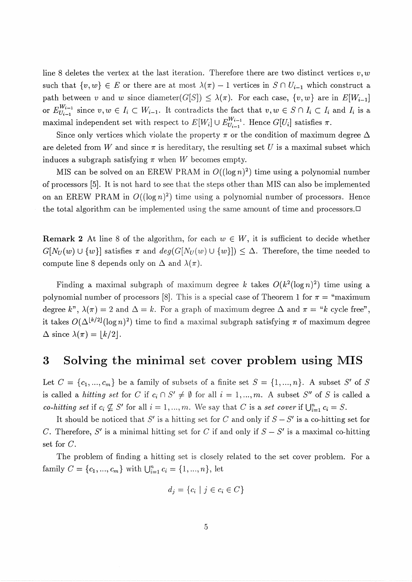line 8 deletes the vertex at the last iteration. Therefore there are two distinct vertices  $v, w$ such that  $\{v, w\} \in E$  or there are at most  $\lambda(\pi) - 1$  vertices in  $S \cap U_{i-1}$  which construct a path between v and w since diameter(G[S])  $\leq \lambda(\pi)$ . For each case,  $\{v, w\}$  are in  $E[W_{i-1}]$ or  $E_{U_{i-1}}^{W_{i-1}}$  since  $v, w \in I_i \subset W_{i-1}$ . It contradicts the fact that  $v, w \in S \cap I_i \subset I_i$  and  $I_i$  is a maximal independent set with respect to  $E[W_i] \cup E_{U_{i-1}}^{W_{i-1}}$ . Hence  $G[U_i]$  satisfies  $\pi$ .

Since only vertices which violate the property  $\pi$  or the condition of maximum degree  $\Delta$ are deleted from W and since  $\pi$  is hereditary, the resulting set U is a maximal subset which induces a subgraph satisfying  $\pi$  when *W* becomes empty.

MIS can be solved on an EREW PRAM in  $O((\log n)^2)$  time using a polynomial number of processors [5]. It is not hard to see that the steps other than MIS can also be implemented on an EREW PRAM in  $O((\log n)^2)$  time using a polynomial number of processors. Hence the total algorithm can be implemented using the same amount of time and processors. $\Box$ 

**Remark 2** At line 8 of the algorithm, for each  $w \in W$ , it is sufficient to decide whether  $G[N_U(w) \cup \{w\}]$  satisfies  $\pi$  and  $deg(G[N_U(w) \cup \{w\}]) \leq \Delta$ . Therefore, the time needed to compute line 8 depends only on  $\Delta$  and  $\lambda(\pi)$ .

Finding a maximal subgraph of maximum degree k takes  $O(k^2(\log n)^2)$  time using a polynomial number of processors [8]. This is a special case of Theorem 1 for  $\pi =$  "maximum degree k",  $\lambda(\pi) = 2$  and  $\Delta = k$ . For a graph of maximum degree  $\Delta$  and  $\pi = "k$  cycle free", it takes  $O(\Delta^{\lfloor k/2 \rfloor} (\log n)^2)$  time to find a maximal subgraph satisfying  $\pi$  of maximum degree  $\Delta$  since  $\lambda(\pi) = \lfloor k/2 \rfloor$ .

#### **3** Solving the minimal set cover problem using MIS

Let  $C = \{c_1, ..., c_m\}$  be a family of subsets of a finite set  $S = \{1, ..., n\}$ . A subset S' of S is called a *hitting set* for *C* if  $c_i \n S' \neq \emptyset$  for all  $i = 1, ..., m$ . A subset S'' of S is called a *co-hitting set* if  $c_i \nsubseteq S'$  for all  $i = 1, ..., m$ . We say that *C* is a *set cover* if  $\bigcup_{i=1}^{n} c_i = S$ .

It should be noticed that S' is a hitting set for C and only if  $S - S'$  is a co-hitting set for C. Therefore, S' is a minimal hitting set for C if and only if  $S - S'$  is a maximal co-hitting set for C.

The problem of finding a hitting set is closely related to the set cover problem. For a family  $C = \{c_1, ..., c_m\}$  with  $\bigcup_{i=1}^n c_i = \{1, ..., n\}$ , let

$$
d_j = \{c_i \mid j \in c_i \in C\}
$$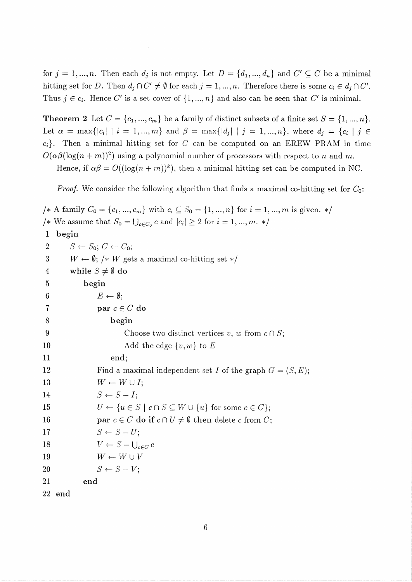for  $j = 1, ..., n$ . Then each  $d_j$  is not empty. Let  $D = \{d_1, ..., d_n\}$  and  $C' \subseteq C$  be a minimal hitting set for *D*. Then  $d_i \cap C' \neq \emptyset$  for each  $j = 1, ..., n$ . Therefore there is some  $c_i \in d_i \cap C'$ . Thus  $j \in c_i$ . Hence C' is a set cover of  $\{1, ..., n\}$  and also can be seen that C' is minimal.

**Theorem 2** Let  $C = \{c_1, ..., c_m\}$  be a family of distinct subsets of a finite set  $S = \{1, ..., n\}$ . Let  $\alpha = \max\{|c_i| \mid i = 1, ..., m\}$  and  $\beta = \max\{|d_i| \mid j = 1, ..., n\}$ , where  $d_i = \{c_i \mid j \in$  $c_i$ . Then a minimal hitting set for *C* can be computed on an EREW PRAM in time  $O(\alpha\beta(\log(n+m))^2)$  using a polynomial number of processors with respect to n and m.

Hence, if  $\alpha\beta = O((\log(n+m))^k)$ , then a minimal hitting set can be computed in NC.

*Proof.* We consider the following algorithm that finds a maximal co-hitting set for  $C_0$ :

/\* A family  $C_0 = \{c_1, ..., c_m\}$  with  $c_i \subseteq S_0 = \{1, ..., n\}$  for  $i = 1, ..., m$  is given. \*/ /\* We assume that  $S_0 = \bigcup_{c \in C_0} c$  and  $|c_i| \geq 2$  for  $i = 1, ..., m$ . \*/

1 begin

2  $S \leftarrow S_0$ ;  $C \leftarrow C_0$ ; 3  $W \leftarrow \emptyset$ ; /\* *W* gets a maximal co-hitting set \*/<br>4 while  $S \neq \emptyset$  do while  $S \neq \emptyset$  do 5 begin 6  $E \leftarrow \emptyset;$ 7 **par**  $c \in C$  do S begin 9 Choose two distinct vertices v, w from  $c \cap S$ ; 10 Add the edge  $\{v, w\}$  to *E* 11 end; 12 Find a maximal independent set I of the graph  $G = (S, E);$ 13  $W \leftarrow W \cup I;$ 14  $S \leftarrow S - I;$ 15  $U \leftarrow \{u \in S \mid c \cap S \subseteq W \cup \{u\} \text{ for some } c \in C\};$ 16 **par**  $c \in C$  **do if**  $c \cap U \neq \emptyset$  **then** delete c from C; 17  $S \leftarrow S-U;$ 18  $V \leftarrow S - \bigcup_{c \in C} c$ 19  $W \leftarrow W \cup V$ 20  $S \leftarrow S-V$ ; 21 end 22 end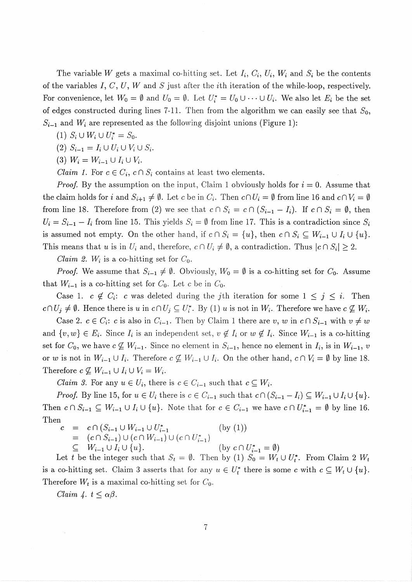The variable W gets a maximal co-hitting set. Let  $I_i$ ,  $C_i$ ,  $U_i$ ,  $W_i$  and  $S_i$  be the contents of the variables I,  $C, U, W$  and S just after the *i*th iteration of the while-loop, respectively. For convenience, let  $W_0 = \emptyset$  and  $U_0 = \emptyset$ . Let  $U_i^* = U_0 \cup \cdots \cup U_i$ . We also let  $E_i$  be the set of edges constructed during lines 7-11. Then from the algorithm we can easily see that  $S_0$ ,  $S_{i-1}$  and  $W_i$  are represented as the following disjoint unions (Figure 1):

- $(1)$   $S_i \cup W_i \cup U_i^* = S_0$ .
- (2)  $S_{i-1} = I_i \cup U_i \cup V_i \cup S_i$ .
- (3)  $W_i = W_{i-1} \cup I_i \cup V_i$ .

*Claim 1.* For  $c \in C_i$ ,  $c \cap S_i$  contains at least two elements.

*Proof.* By the assumption on the input, Claim 1 obviously holds for  $i = 0$ . Assume that the claim holds for i and  $S_{i+1} \neq \emptyset$ . Let c be in  $C_i$ . Then  $c \cap U_i = \emptyset$  from line 16 and  $c \cap V_i = \emptyset$ from line 18. Therefore from (2) we see that  $c \cap S_i = c \cap (S_{i-1} - I_i)$ . If  $c \cap S_i = \emptyset$ , then  $U_i = S_{i-1} - I_i$  from line 15. This yields  $S_i = \emptyset$  from line 17. This is a contradiction since  $S_i$ is assumed not empty. On the other hand, if  $c \cap S_i = \{u\}$ , then  $c \cap S_i \subseteq W_{i-1} \cup I_i \cup \{u\}.$ This means that u is in  $U_i$  and, therefore,  $c \cap U_i \neq \emptyset$ , a contradiction. Thus  $|c \cap S_i| \geq 2$ .

*Claim 2.*  $W_i$  is a co-hitting set for  $C_0$ .

*Proof.* We assume that  $S_{i-1} \neq \emptyset$ . Obviously,  $W_0 = \emptyset$  is a co-hitting set for  $C_0$ . Assume that  $W_{i-1}$  is a co-hitting set for  $C_0$ . Let c be in  $C_0$ .

Case 1.  $c \notin C_i$ : c was deleted during the *j*th iteration for some  $1 \leq j \leq i$ . Then  $c \cap U_j \neq \emptyset$ . Hence there is u in  $c \cap U_j \subseteq U_i^*$ . By (1) u is not in  $W_i$ . Therefore we have  $c \nsubseteq W_i$ .

Case 2.  $c \in C_i$ : c is also in  $C_{i-1}$ . Then by Claim 1 there are v, w in  $c \cap S_{i-1}$  with  $v \neq w$ and  $\{v, w\} \in E_i$ . Since  $I_i$  is an independent set,  $v \notin I_i$  or  $w \notin I_i$ . Since  $W_{i-1}$  is a co-hitting set for  $C_0$ , we have  $c \not\subseteq W_{i-1}$ . Since no element in  $S_{i-1}$ , hence no element in  $I_i$ , is in  $W_{i-1}$ , v or w is not in  $W_{i-1} \cup I_i$ . Therefore  $c \not\subseteq W_{i-1} \cup I_i$ . On the other hand,  $c \cap V_i = \emptyset$  by line 18. Therefore  $c \nsubseteq W_{i-1} \cup I_i \cup V_i = W_i$ .

*Claim 3.* For any  $u \in U_i$ , there is  $c \in C_{i-1}$  such that  $c \subseteq W_i$ .

*Proof.* By line 15, for  $u \in U_i$  there is  $c \in C_{i-1}$  such that  $c \cap (S_{i-1} - I_i) \subseteq W_{i-1} \cup I_i \cup \{u\}.$ Then  $c \cap S_{i-1} \subseteq W_{i-1} \cup I_i \cup \{u\}$ . Note that for  $c \in C_{i-1}$  we have  $c \cap U_{i-1}^* = \emptyset$  by line 16. Then

$$
c = c \cap (S_{i-1} \cup W_{i-1} \cup U_{i-1}^*) \text{ (by (1))}
$$
  
=  $(c \cap S_{i-1}) \cup (c \cap W_{i-1}) \cup (c \cap U_{i-1}^*)$   
 $\subseteq W_{i-1} \cup I_i \cup \{u\}.$  (by  $c \cap U_{i-1}^* = \emptyset$ )

Let *t* be the integer such that  $S_t = \emptyset$ . Then by (1)  $S_0 = W_t \cup U_t^*$ . From Claim 2 is a co-hitting set. Claim 3 asserts that for any  $u \in U_t^*$  there is some c with  $c \subseteq W_t \cup \{u\}.$ Therefore  $W_t$  is a maximal co-hitting set for  $C_0$ .

Claim 4.  $t \leq \alpha\beta$ .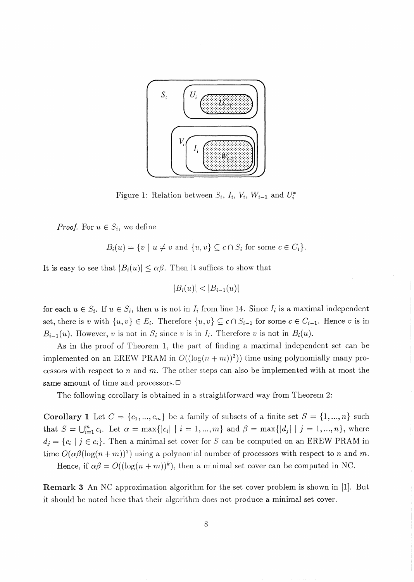

Figure 1: Relation between  $S_i$ ,  $I_i$ ,  $V_i$ ,  $W_{i-1}$  and  $U_i^*$ 

*Proof.* For  $u \in S_i$ , we define

$$
B_i(u) = \{v \mid u \neq v \text{ and } \{u, v\} \subseteq c \cap S_i \text{ for some } c \in C_i\}.
$$

It is easy to see that  $|B_i(u)| \leq \alpha \beta$ . Then it suffices to show that

$$
|B_i(u)| < |B_{i-1}(u)|
$$

for each  $u \in S_i$ . If  $u \in S_i$ , then u is not in  $I_i$  from line 14. Since  $I_i$  is a maximal independent set, there is v with  $\{u, v\} \in E_i$ . Therefore  $\{u, v\} \subseteq c \cap S_{i-1}$  for some  $c \in C_{i-1}$ . Hence v is in  $B_{i-1}(u)$ . However, v is not in  $S_i$  since v is in  $I_i$ . Therefore v is not in  $B_i(u)$ .

As in the proof of Theorem 1, the part of finding a maximal independent set can be implemented on an EREW PRAM in  $O((\log(n+m))^2)$ ) time using polynomially many processors with respect to n and m. The other steps can also be implemented with at most the same amount of time and processors. $\Box$ 

The following corollary is obtained in a straightforward way from Theorem 2:

**Corollary 1** Let  $C = \{c_1, ..., c_m\}$  be a family of subsets of a finite set  $S = \{1, ..., n\}$  such that  $S = \bigcup_{i=1}^{m} c_i$ . Let  $\alpha = \max\{|c_i| \mid i = 1, ..., m\}$  and  $\beta = \max\{|d_j| \mid j = 1, ..., n\}$ , where  $d_j = \{c_i \mid j \in c_i\}.$  Then a minimal set cover for S can be computed on an EREW PRAM in time  $O(\alpha\beta(\log(n+m))^2)$  using a polynomial number of processors with respect to *n* and *m*.

Hence, if  $\alpha\beta = O((\log(n+m))^k)$ , then a minimal set cover can be computed in NC.

**Remark 3** An NC approximation algorithm for the set cover problem is shown in [1]. But it should be noted here that their algorithm does not produce a minimal set cover.